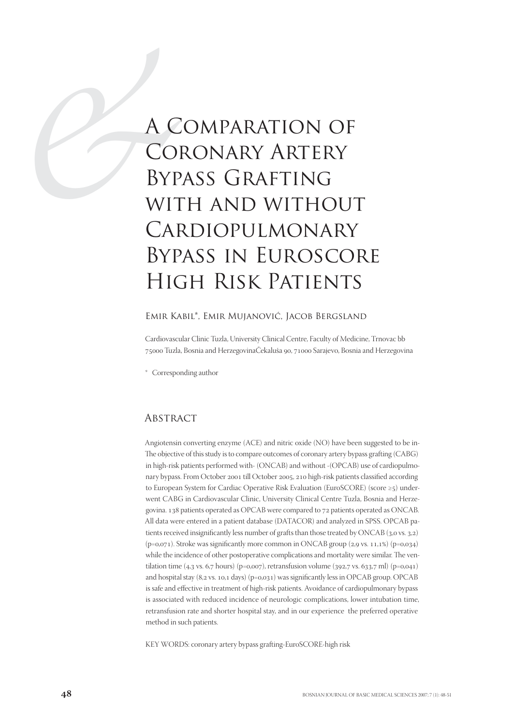# *AC*<br>
CO<br>
BYP<br>
WIT<br>
CAI A Comparation of Coronary Artery Bypass Grafting with and without Cardiopulmonary Bypass in Euroscore High Risk Patients

#### Emir Kabil\*, Emir Mujanović, Jacob Bergsland

Cardiovascular Clinic Tuzla, University Clinical Centre, Faculty of Medicine, Trnovac bb 75000 Tuzla, Bosnia and HerzegovinaČekaluša 90, 71000 Sarajevo, Bosnia and Herzegovina

\* Corresponding author

#### **ABSTRACT**

Angiotensin converting enzyme (ACE) and nitric oxide (NO) have been suggested to be in-The objective of this study is to compare outcomes of coronary artery bypass grafting (CABG) in high-risk patients performed with- (ONCAB) and without -(OPCAB) use of cardiopulmonary bypass. From October 2001 till October 2005, 210 high-risk patients classified according to European System for Cardiac Operative Risk Evaluation (EuroSCORE) (score  $\geq$ 5) underwent CABG in Cardiovascular Clinic, University Clinical Centre Tuzla, Bosnia and Herzegovina. 138 patients operated as OPCAB were compared to 72 patients operated as ONCAB. All data were entered in a patient database (DATACOR) and analyzed in SPSS. OPCAB patients received insignificantly less number of grafts than those treated by ONCAB  $(3,0 \text{ vs. } 3,2)$  $(p=0.071)$ . Stroke was significantly more common in ONCAB group  $(2.9 \text{ vs. } 11.1\%)$   $(p=0.034)$ while the incidence of other postoperative complications and mortality were similar. The ventilation time (4,3 vs. 6,7 hours) (p=0,007), retransfusion volume (392,7 vs. 633,7 ml) (p=0,041) and hospital stay  $(8, 2 \text{ vs. } 10, 1 \text{ days})$   $(p=0, 031)$  was significantly less in OPCAB group. OPCAB is safe and effective in treatment of high-risk patients. Avoidance of cardiopulmonary bypass is associated with reduced incidence of neurologic complications, lower intubation time, retransfusion rate and shorter hospital stay, and in our experience the preferred operative method in such patients.

KEY WORDS: coronary artery bypass grafting-EuroSCORE-high risk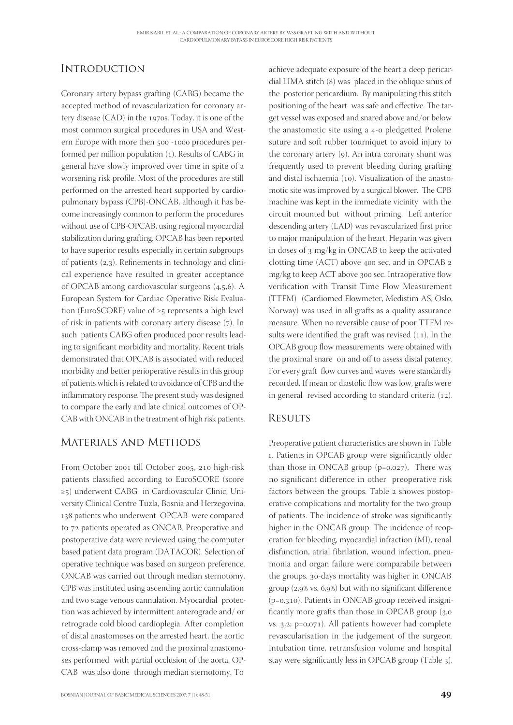# **INTRODUCTION**

Coronary artery bypass grafting (CABG) became the accepted method of revascularization for coronary artery disease (CAD) in the 1970s. Today, it is one of the most common surgical procedures in USA and Western Europe with more then 500 -1000 procedures performed per million population  $(1)$ . Results of CABG in general have slowly improved over time in spite of a worsening risk profile. Most of the procedures are still performed on the arrested heart supported by cardiopulmonary bypass (CPB)-ONCAB, although it has become increasingly common to perform the procedures without use of CPB-OPCAB, using regional myocardial stabilization during grafting. OPCAB has been reported to have superior results especially in certain subgroups of patients  $(2,3)$ . Refinements in technology and clinical experience have resulted in greater acceptance of OPCAB among cardiovascular surgeons  $(4,5,6)$ . A European System for Cardiac Operative Risk Evaluation (EuroSCORE) value of ≥5 represents a high level of risk in patients with coronary artery disease  $(7)$ . In such patients CABG often produced poor results leading to significant morbidity and mortality. Recent trials demonstrated that OPCAB is associated with reduced morbidity and better perioperative results in this group of patients which is related to avoidance of CPB and the inflammatory response. The present study was designed to compare the early and late clinical outcomes of OP-CAB with ONCAB in the treatment of high risk patients.

## Materials and Methods

From October 2001 till October 2005, 210 high-risk patients classified according to EuroSCORE (score ≥5) underwent CABG in Cardiovascular Clinic, University Clinical Centre Tuzla, Bosnia and Herzegovina. 138 patients who underwent OPCAB were compared to 72 patients operated as ONCAB. Preoperative and postoperative data were reviewed using the computer based patient data program (DATACOR). Selection of operative technique was based on surgeon preference. ONCAB was carried out through median sternotomy. CPB was instituted using ascending aortic cannulation and two stage venous cannulation. Myocardial protection was achieved by intermittent anterograde and/ or retrograde cold blood cardioplegia. After completion of distal anastomoses on the arrested heart, the aortic cross-clamp was removed and the proximal anastomoses performed with partial occlusion of the aorta. OP-CAB was also done through median sternotomy. To

achieve adequate exposure of the heart a deep pericardial LIMA stitch  $(8)$  was placed in the oblique sinus of the posterior pericardium. By manipulating this stitch positioning of the heart was safe and effective. The target vessel was exposed and snared above and/or below the anastomotic site using a 4-0 pledgetted Prolene suture and soft rubber tourniquet to avoid injury to the coronary artery  $(9)$ . An intra coronary shunt was frequently used to prevent bleeding during grafting and distal ischaemia (10). Visualization of the anastomotic site was improved by a surgical blower. The CPB machine was kept in the immediate vicinity with the circuit mounted but without priming. Left anterior descending artery (LAD) was revascularized first prior to major manipulation of the heart. Heparin was given in doses of 3 mg/kg in ONCAB to keep the activated clotting time (ACT) above 400 sec. and in OPCAB 2  $mg/kg$  to keep ACT above 300 sec. Intraoperative flow verification with Transit Time Flow Measurement (TTFM) (Cardiomed Flowmeter, Medistim AS, Oslo, Norway) was used in all grafts as a quality assurance measure. When no reversible cause of poor TTFM results were identified the graft was revised  $(11)$ . In the OPCAB group flow measurements were obtained with the proximal snare on and off to assess distal patency. For every graft flow curves and waves were standardly recorded. If mean or diastolic flow was low, grafts were in general revised according to standard criteria  $(12)$ .

#### **RESULTS**

Preoperative patient characteristics are shown in Table . Patients in OPCAB group were significantly older than those in ONCAB group  $(p=0,027)$ . There was no significant difference in other preoperative risk factors between the groups. Table 2 showes postoperative complications and mortality for the two group of patients. The incidence of stroke was significantly higher in the ONCAB group. The incidence of reoperation for bleeding, myocardial infraction (MI), renal disfunction, atrial fibrilation, wound infection, pneumonia and organ failure were comparabile between the groups. 30-days mortality was higher in ONCAB group  $(2, 9\% \text{ vs. } 6, 9\%)$  but with no significant difference  $(p=0,310)$ . Patients in ONCAB group received insignificantly more grafts than those in OPCAB group  $(3,0)$ vs. 3,2; p=0,071). All patients however had complete revascularisation in the judgement of the surgeon. Intubation time, retransfusion volume and hospital stay were significantly less in OPCAB group (Table 3).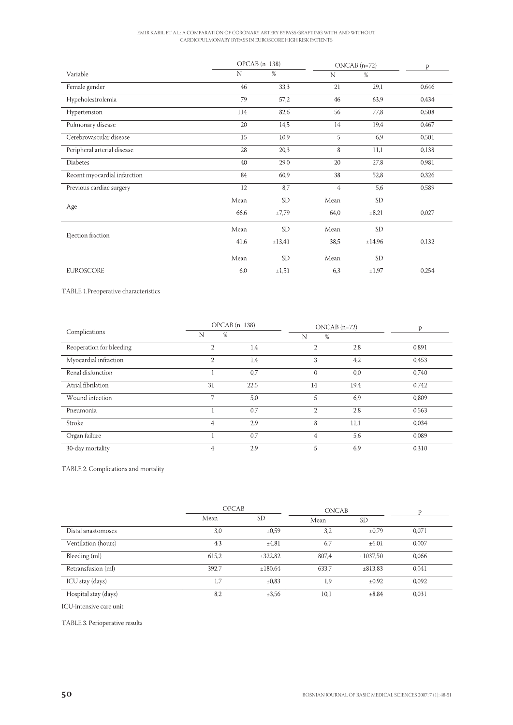# EMIR KABIL ET AL.: A COMPARATION OF CORONARY ARTERY BYPASS GRAFTING WITH AND WITHOUT CARDIOPULMONARY BYPASS IN EUROSCORE HIGH RISK PATIENTS

|                              | $OPCAB$ (n=138) |           | $ONCAB$ (n=72) |            | p     |
|------------------------------|-----------------|-----------|----------------|------------|-------|
| Variable                     | N               | $\%$      | N              | $\%$       |       |
| Female gender                | 46              | 33,3      | 21             | 29,1       | 0,646 |
| Hypeholestrolemia            | 79              | 57,2      | 46             | 63,9       | 0,434 |
| Hypertension                 | 114             | 82,6      | 56             | 77,8       | 0,508 |
| Pulmonary disease            | 20              | 14,5      | 14             | 19,4       | 0,467 |
| Cerebrovascular disease      | 15              | 10,9      | 5              | 6,9        | 0,501 |
| Peripheral arterial disease  | 28              | 20,3      | 8              | 11,1       | 0,138 |
| <b>Diabetes</b>              | 40              | 29,0      | 20             | 27,8       | 0,981 |
| Recent myocardial infarction | 84              | 60,9      | 38             | 52,8       | 0,326 |
| Previous cardiac surgery     | 12              | 8,7       | $\overline{4}$ | 5,6        | 0,589 |
| Age                          | Mean            | <b>SD</b> | Mean           | <b>SD</b>  |       |
|                              | 66,6            | ±7,79     | 64,0           | $\pm 8.21$ | 0,027 |
| Ejection fraction            | Mean            | <b>SD</b> | Mean           | <b>SD</b>  |       |
|                              | 41,6            | ±13,41    | 38,5           | ±14,96     | 0,132 |
|                              | Mean            | <b>SD</b> | Mean           | <b>SD</b>  |       |
| <b>EUROSCORE</b>             | 6,0             | ±1,51     | 6,3            | ±1,97      | 0,254 |

TABLE 1.Preoperative characteristics

| Complications            |                | $OPCAB$ (n=138) |                | $ONCAB$ (n=72) |       |
|--------------------------|----------------|-----------------|----------------|----------------|-------|
|                          | %<br>N         |                 | %<br>N         |                |       |
| Reoperation for bleeding | $\overline{2}$ | 1,4             | $\overline{2}$ | 2,8            | 0.891 |
| Myocardial infraction    | $\overline{2}$ | 1.4             | 3              | 4,2            | 0.453 |
| Renal disfunction        |                | 0.7             | $\Omega$       | 0,0            | 0,740 |
| Atrial fibrilation       | 31             | 22,5            | 14             | 19,4           | 0.742 |
| Wound infection          | 7              | 5,0             | 5              | 6.9            | 0.809 |
| Pneumonia                |                | 0,7             | $\overline{2}$ | 2,8            | 0,563 |
| Stroke                   | $\overline{4}$ | 2.9             | 8              | 11,1           | 0.034 |
| Organ failure            |                | 0,7             | 4              | 5,6            | 0,089 |
| 30-day mortality         | 4              | 2.9             | 5              | 6,9            | 0.310 |

TABLE 2. Complications and mortality

|                      | <b>OPCAB</b> |            | <b>ONCAB</b> |            |       |
|----------------------|--------------|------------|--------------|------------|-------|
|                      | Mean         | <b>SD</b>  | Mean         | <b>SD</b>  |       |
| Distal anastomoses   | 3,0          | ±0.59      | 3.2          | $\pm 0.79$ | 0,071 |
| Ventilation (hours)  | 4,3          | ±4,81      | -6.7         | $\pm 6.01$ | 0.007 |
| Bleeding (ml)        | 615,2        | ±322,82    | 807.4        | ±1037.50   | 0.066 |
| Retransfusion (ml)   | 392.7        | ±180.64    | 633.7        | ±813.83    | 0.041 |
| ICU stay (days)      | 1,7          | $\pm 0.83$ | 1.9          | $\pm 0.92$ | 0.092 |
| Hospital stay (days) | 8.2          | ±3.56      | 10.1         | ±8.84      | 0.031 |

ICU-intensive care unit

TABLE 3. Perioperative results